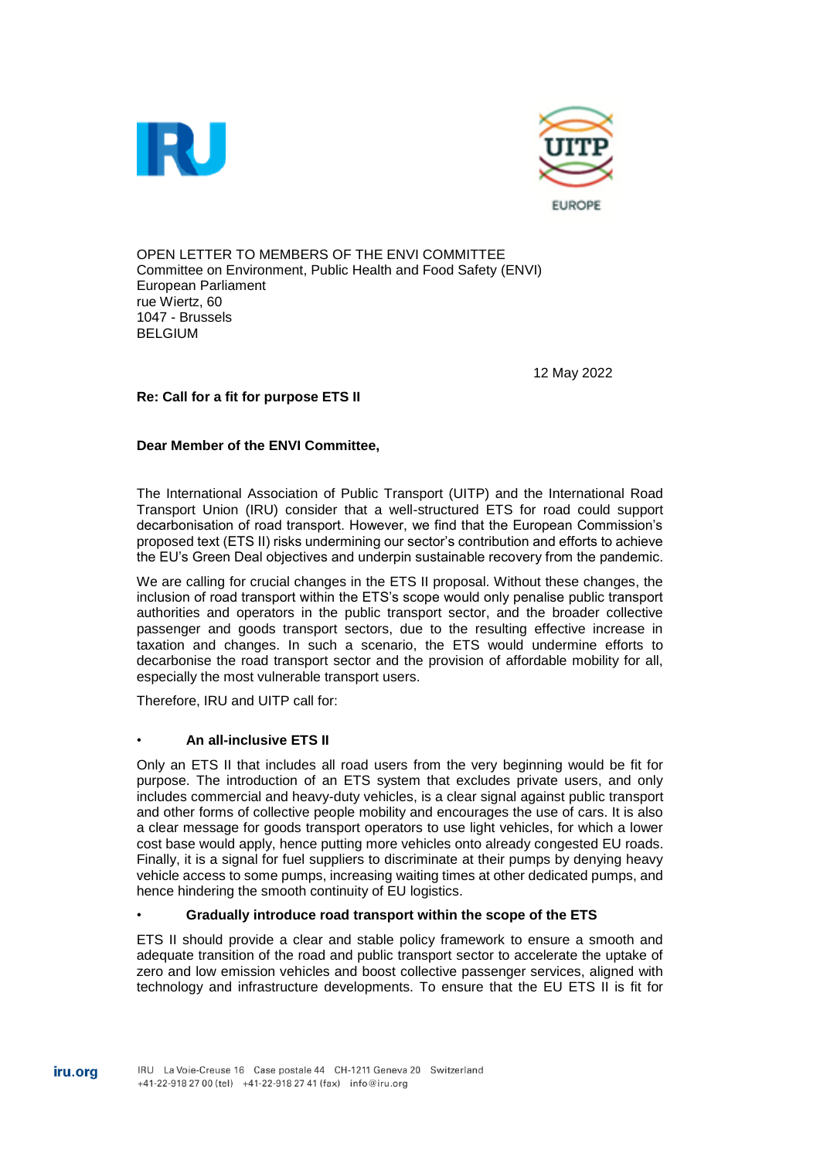



OPEN LETTER TO MEMBERS OF THE ENVI COMMITTEE Committee on Environment, Public Health and Food Safety (ENVI) European Parliament rue Wiertz, 60 1047 - Brussels BELGIUM

12 May 2022

# **Re: Call for a fit for purpose ETS II**

# **Dear Member of the ENVI Committee,**

The International Association of Public Transport (UITP) and the International Road Transport Union (IRU) consider that a well-structured ETS for road could support decarbonisation of road transport. However, we find that the European Commission's proposed text (ETS II) risks undermining our sector's contribution and efforts to achieve the EU's Green Deal objectives and underpin sustainable recovery from the pandemic.

We are calling for crucial changes in the ETS II proposal. Without these changes, the inclusion of road transport within the ETS's scope would only penalise public transport authorities and operators in the public transport sector, and the broader collective passenger and goods transport sectors, due to the resulting effective increase in taxation and changes. In such a scenario, the ETS would undermine efforts to decarbonise the road transport sector and the provision of affordable mobility for all, especially the most vulnerable transport users.

Therefore, IRU and UITP call for:

# • **An all-inclusive ETS II**

Only an ETS II that includes all road users from the very beginning would be fit for purpose. The introduction of an ETS system that excludes private users, and only includes commercial and heavy-duty vehicles, is a clear signal against public transport and other forms of collective people mobility and encourages the use of cars. It is also a clear message for goods transport operators to use light vehicles, for which a lower cost base would apply, hence putting more vehicles onto already congested EU roads. Finally, it is a signal for fuel suppliers to discriminate at their pumps by denying heavy vehicle access to some pumps, increasing waiting times at other dedicated pumps, and hence hindering the smooth continuity of EU logistics.

# • **Gradually introduce road transport within the scope of the ETS**

ETS II should provide a clear and stable policy framework to ensure a smooth and adequate transition of the road and public transport sector to accelerate the uptake of zero and low emission vehicles and boost collective passenger services, aligned with technology and infrastructure developments. To ensure that the EU ETS II is fit for